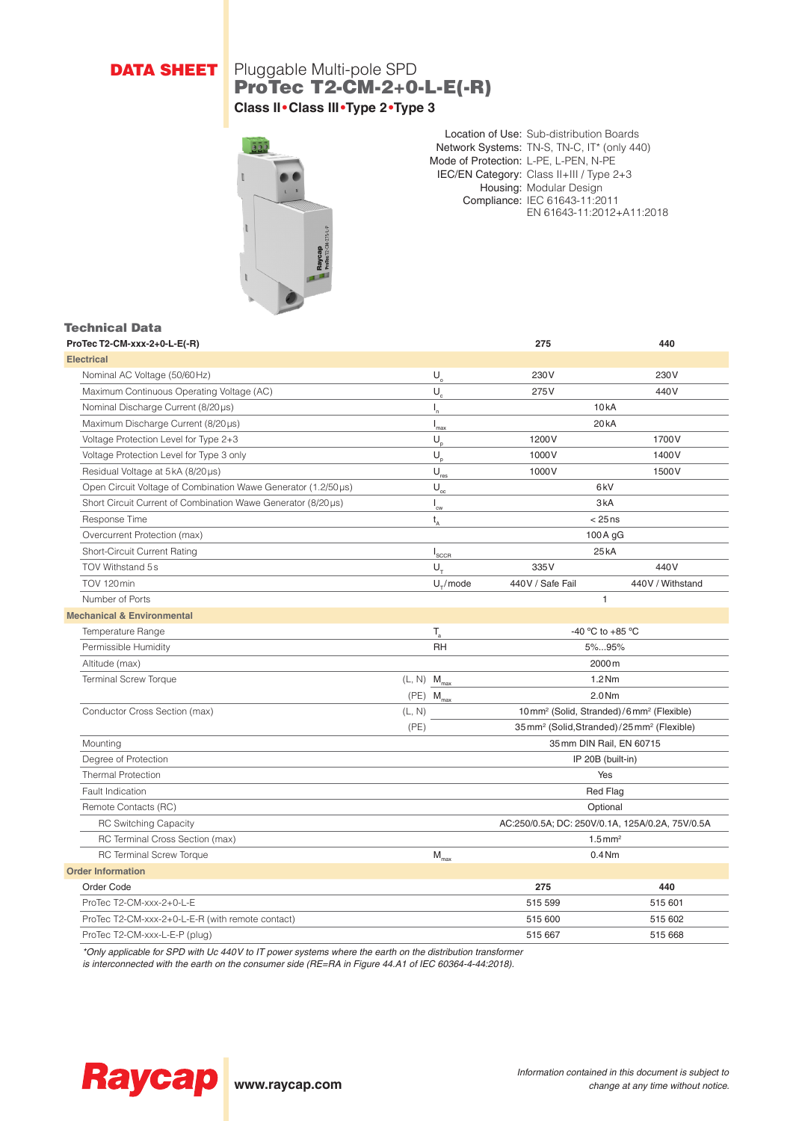# **DATA SHEET** Pluggable Multi-pole SPD ProTec T2-CM-2+0-L-E(-R) **Class II•Class III•Type 2•Type 3**



Location of Use: Sub-distribution Boards Network Systems: TN-S, TN-C, IT\* (only 440) Mode of Protection: L-PE, L-PEN, N-PE IEC/EN Category: Class II+III / Type 2+3 Housing: Modular Design Compliance: IEC 61643-11:2011 EN 61643-11:2012+A11:2018

### Technical Data

| ProTec T2-CM-xxx-2+0-L-E(-R)                                   | 275                                          | 440                                                                |                  |  |
|----------------------------------------------------------------|----------------------------------------------|--------------------------------------------------------------------|------------------|--|
| <b>Electrical</b>                                              |                                              |                                                                    |                  |  |
| Nominal AC Voltage (50/60Hz)                                   | $U_{o}$                                      | 230V                                                               | 230V             |  |
| Maximum Continuous Operating Voltage (AC)                      | $U_c$                                        | 275V                                                               | 440V             |  |
| Nominal Discharge Current (8/20µs)                             | $I_{n}$                                      | 10kA                                                               |                  |  |
| Maximum Discharge Current (8/20µs)                             | $\mathsf{I}_{\max}$                          | 20 <sub>k</sub> A                                                  |                  |  |
| Voltage Protection Level for Type 2+3                          | $U_{\rm o}$                                  | 1200V                                                              | 1700V            |  |
| Voltage Protection Level for Type 3 only                       | $U_{p}$                                      | 1000V                                                              | 1400V            |  |
| Residual Voltage at 5kA (8/20µs)                               | $\mathsf{U}_{\text{res}}$                    | 1000V                                                              | 1500V            |  |
| Open Circuit Voltage of Combination Wawe Generator (1.2/50 µs) | $\mathsf{U}_{\scriptscriptstyle{\text{oc}}}$ | 6 <sub>k</sub> V                                                   |                  |  |
| Short Circuit Current of Combination Wawe Generator (8/20µs)   | $\mathsf{I}_{\mathsf{cw}}$                   | 3kA                                                                |                  |  |
| Response Time                                                  | $t_{A}$                                      | $< 25$ ns                                                          |                  |  |
| Overcurrent Protection (max)                                   |                                              | 100 A gG                                                           |                  |  |
| Short-Circuit Current Rating                                   | $I_{\underline{{\sf SCCR}}}$                 | 25kA                                                               |                  |  |
| TOV Withstand 5s                                               | $U_{\tau}$                                   | 335V                                                               | 440V             |  |
| TOV 120 min                                                    | $U_{\tau}$ /mode                             | 440V / Safe Fail                                                   | 440V / Withstand |  |
| Number of Ports                                                |                                              | 1                                                                  |                  |  |
| <b>Mechanical &amp; Environmental</b>                          |                                              |                                                                    |                  |  |
| Temperature Range                                              | $\mathsf{T}_{\rm a}$                         | -40 °C to +85 °C                                                   |                  |  |
| Permissible Humidity                                           | <b>RH</b>                                    | 5%95%                                                              |                  |  |
| Altitude (max)                                                 |                                              | 2000 m                                                             |                  |  |
| <b>Terminal Screw Torque</b>                                   | $(L, N)$ $M_{max}$                           | $1.2$ Nm                                                           |                  |  |
|                                                                | $(PE)$ $M_{max}$                             | 2.0 <sub>Nm</sub>                                                  |                  |  |
| Conductor Cross Section (max)                                  | (L, N)                                       | 10mm <sup>2</sup> (Solid, Stranded)/6mm <sup>2</sup> (Flexible)    |                  |  |
|                                                                | (PE)                                         | 35mm <sup>2</sup> (Solid, Stranded) / 25mm <sup>2</sup> (Flexible) |                  |  |
| Mounting                                                       |                                              | 35 mm DIN Rail, EN 60715                                           |                  |  |
| Degree of Protection                                           |                                              | IP 20B (built-in)                                                  |                  |  |
| <b>Thermal Protection</b>                                      |                                              | Yes                                                                |                  |  |
| Fault Indication                                               |                                              | <b>Red Flag</b>                                                    |                  |  |
| Remote Contacts (RC)                                           |                                              | Optional                                                           |                  |  |
| <b>RC Switching Capacity</b>                                   |                                              | AC:250/0.5A; DC: 250V/0.1A, 125A/0.2A, 75V/0.5A                    |                  |  |
| RC Terminal Cross Section (max)                                |                                              | $1.5$ mm <sup>2</sup>                                              |                  |  |
| <b>RC Terminal Screw Torque</b>                                | $\mathsf{M}_{\max}$                          | 0.4 <sub>Nm</sub>                                                  |                  |  |
| <b>Order Information</b>                                       |                                              |                                                                    |                  |  |
| Order Code                                                     |                                              | 275                                                                | 440              |  |
| ProTec T2-CM-xxx-2+0-L-E                                       |                                              | 515 599                                                            | 515 601          |  |
| ProTec T2-CM-xxx-2+0-L-E-R (with remote contact)               |                                              | 515 600                                                            | 515 602          |  |
| ProTec T2-CM-xxx-L-E-P (plug)                                  |                                              | 515 667                                                            | 515 668          |  |

*\*Only applicable for SPD with Uc 440V to IT power systems where the earth on the distribution transformer* 

*is interconnected with the earth on the consumer side (RE=RA in Figure 44.A1 of IEC 60364-4-44:2018).*